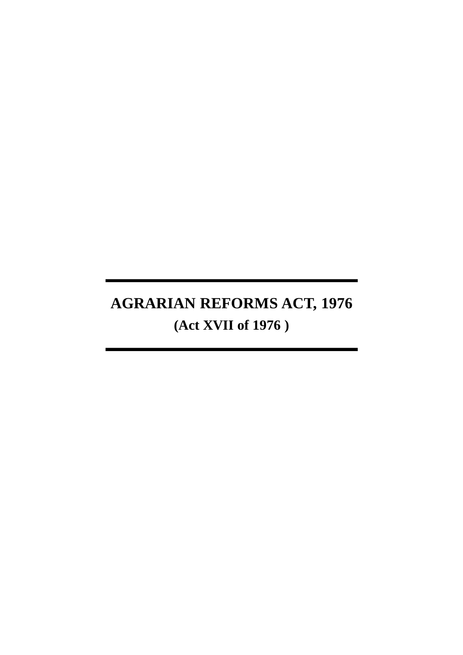# **AGRARIAN REFORMS ACT, 1976 (Act XVII of 1976 )**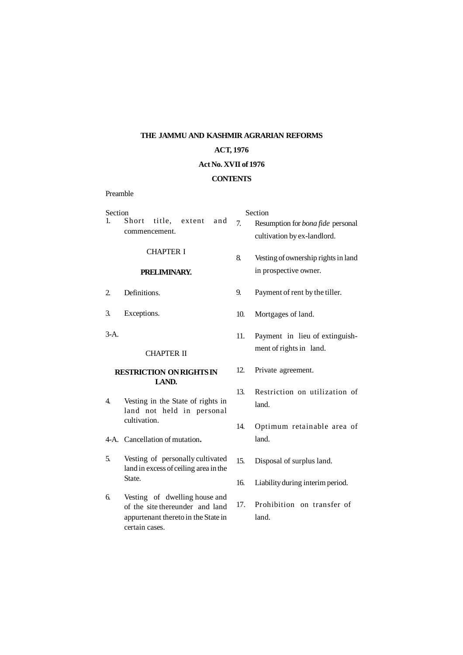## **THE JAMMU AND KASHMIR AGRARIAN REFORMS ACT, 1976 Act No. XVII of 1976 CONTENTS**

Preamble

| Section<br>$1_{-}$                       | Short<br>title,<br>and<br>extent<br>commencement.                                                                         | 7 <sub>1</sub> | Section<br>Resumption for <i>bona fide</i> personal<br>cultivation by ex-landlord. |
|------------------------------------------|---------------------------------------------------------------------------------------------------------------------------|----------------|------------------------------------------------------------------------------------|
|                                          | <b>CHAPTER I</b>                                                                                                          | 8.             | Vesting of ownership rights in land                                                |
| PRELIMINARY.                             |                                                                                                                           |                | in prospective owner.                                                              |
| 2.                                       | Definitions.                                                                                                              | 9.             | Payment of rent by the tiller.                                                     |
| 3.                                       | Exceptions.                                                                                                               | 10.            | Mortgages of land.                                                                 |
| $3-A.$                                   |                                                                                                                           | 11.            | Payment in lieu of extinguish-                                                     |
|                                          | <b>CHAPTER II</b>                                                                                                         |                | ment of rights in land.                                                            |
| <b>RESTRICTION ON RIGHTS IN</b><br>LAND. |                                                                                                                           | 12.            | Private agreement.                                                                 |
| 4.                                       | Vesting in the State of rights in<br>land not held in personal<br>cultivation.                                            | 13.            | Restriction on utilization of<br>land.                                             |
|                                          |                                                                                                                           | 14.            | Optimum retainable area of                                                         |
|                                          | 4-A. Cancellation of mutation.                                                                                            |                | land.                                                                              |
| 5.                                       | Vesting of personally cultivated<br>land in excess of ceiling area in the<br>State.                                       | 15.            | Disposal of surplus land.                                                          |
|                                          |                                                                                                                           | 16.            | Liability during interim period.                                                   |
| 6.                                       | Vesting of dwelling house and<br>of the site thereunder and land<br>appurtenant thereto in the State in<br>certain cases. | 17.            | Prohibition on transfer of<br>land.                                                |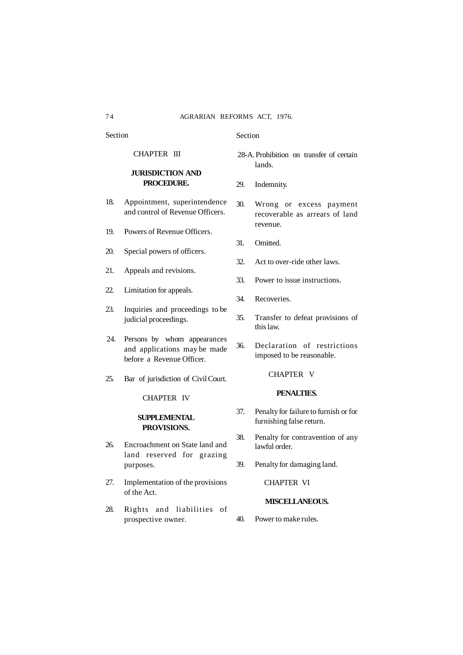Section

#### CHAPTER III

#### **JURISDICTION AND PROCEDURE.**

- 18. Appointment, superintendence and control of Revenue Officers.
- 19. Powers of Revenue Officers.
- 20. Special powers of officers.
- 21. Appeals and revisions.
- 22. Limitation for appeals.
- 23. Inquiries and proceedings to be judicial proceedings.
- 24. Persons by whom appearances and applications may be made before a Revenue Officer.
- 25. Bar of jurisdiction of Civil Court.

#### CHAPTER IV

#### **SUPPLEMENTAL PROVISIONS.**

- 26. Encroachment on State land and land reserved for grazing purposes.
- 27. Implementation of the provisions of the Act.
- 28. Rights and liabilities of prospective owner.

#### Section

- 28-A. Prohibition on transfer of certain lands.
- 29. Indemnity.
- 30. Wrong or excess payment recoverable as arrears of land revenue.
- 31. Omitted.
- 32. Act to over-ride other laws.
- 33. Power to issue instructions.
- 34. Recoveries.
- 35. Transfer to defeat provisions of this law.
- 36. Declaration of restrictions imposed to be reasonable.

#### CHAPTER V

#### **PENALTIES.**

- 37. Penalty for failure to furnish or for furnishing false return.
- 38. Penalty for contravention of any lawful order.
- 39. Penalty for damaging land.

CHAPTER VI

#### **MISCELLANEOUS.**

40. Power to make rules.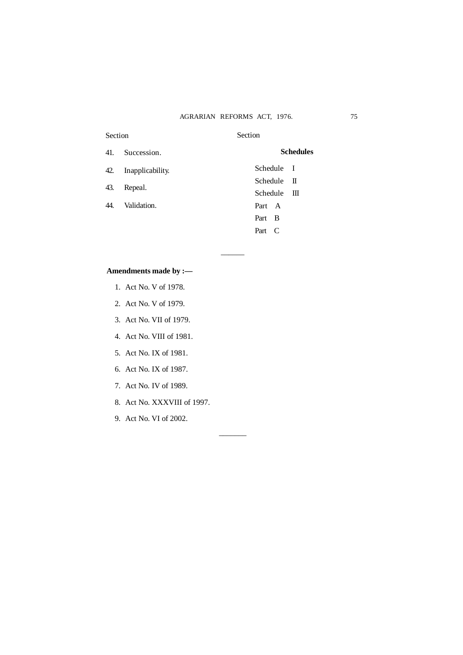#### AGRARIAN REFORMS ACT, 1976. 75

| Section |                      | Section                   |
|---------|----------------------|---------------------------|
|         | 41. Succession.      | <b>Schedules</b>          |
|         | 42. Inapplicability. | Schedule I                |
| 43.     | Repeal.              | $S$ chedule $\Pi$         |
|         |                      | $S$ chedule $\mathbb{II}$ |
|         | 44. Validation.      | Part A                    |
|         |                      | Part B                    |
|         |                      | Part C                    |
|         |                      |                           |

––––––

–––––––

### **Amendments made by :––**

- 1. Act No. V of 1978.
- 2. Act No. V of 1979.
- 3. Act No. VII of 1979.
- 4. Act No. VIII of 1981.
- 5. Act No. IX of 1981.
- 6. Act No. IX of 1987.
- 7. Act No. IV of 1989.
- 8. Act No. XXXVIII of 1997.
- 9. Act No. VI of 2002.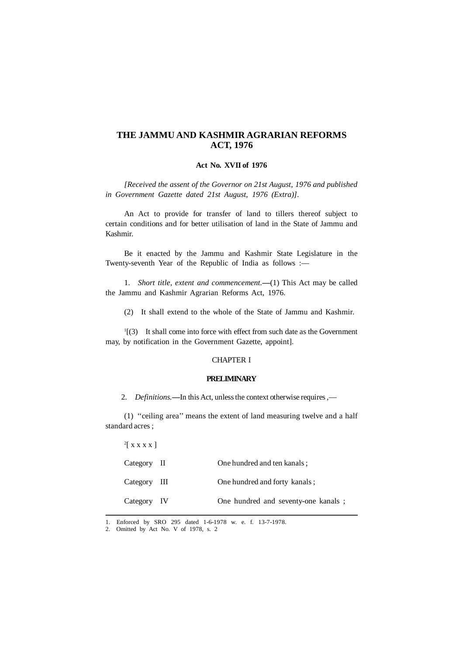### **THE JAMMU AND KASHMIR AGRARIAN REFORMS ACT, 1976**

#### **Act No. XVII of 1976**

*[Received the assent of the Governor on 21st August, 1976 and published in Government Gazette dated 21st August, 1976 (Extra)].*

An Act to provide for transfer of land to tillers thereof subject to certain conditions and for better utilisation of land in the State of Jammu and Kashmir.

Be it enacted by the Jammu and Kashmir State Legislature in the Twenty-seventh Year of the Republic of India as follows :-

1. *Short title, extent and commencement*. -- (1) This Act may be called the Jammu and Kashmir Agrarian Reforms Act, 1976.

(2) It shall extend to the whole of the State of Jammu and Kashmir.

 $\frac{1}{3}$  It shall come into force with effect from such date as the Government may, by notification in the Government Gazette, appoint].

#### CHAPTER I

#### **PRELIMINARY**

2. *Definitions.***––**In this Act, unless the context otherwise requires ,––

(1) ''ceiling area'' means the extent of land measuring twelve and a half standard acres ;

| <sup>2</sup> [XXXX] |                                      |
|---------------------|--------------------------------------|
| Category II         | One hundred and ten kanals:          |
| Category III        | One hundred and forty kanals;        |
| Category IV         | One hundred and seventy-one kanals ; |

1. Enforced by SRO 295 dated 1-6-1978 w. e. f. 13-7-1978.

<sup>2.</sup> Omitted by Act No. V of 1978, s. 2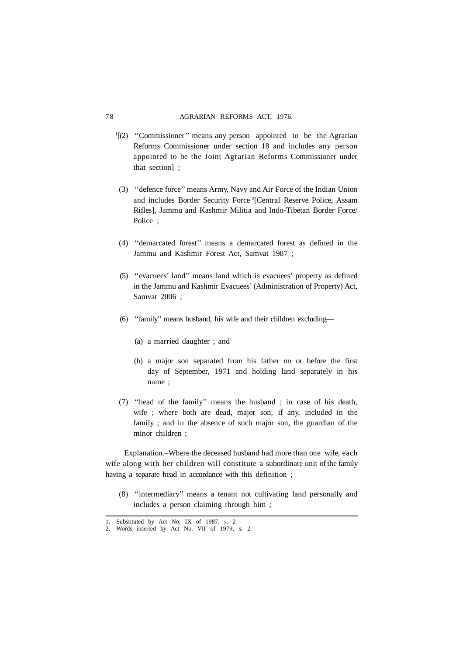- <sup>1</sup>[(2) "Commissioner" means any person appointed to be the Agrarian Reforms Commissioner under section 18 and includes any person appointed to be the Joint Agrarian Reforms Commissioner under that section] ;
- (3) ''defence force'' means Army, Navy and Air Force of the Indian Union and includes Border Security Force<sup>2</sup>[Central Reserve Police, Assam Rifles], Jammu and Kashmir Militia and Indo-Tibetan Border Force/ Police ;
- (4) ''demarcated forest'' means a demarcated forest as defined in the Jammu and Kashmir Forest Act, Samvat 1987 ;
- (5) ''evacuees' land'' means land which is evacuees' property as defined in the Jammu and Kashmir Evacuees' (Administration of Property) Act, Samvat 2006 ;
- (6) ''family'' means husband, his wife and their children excluding––
	- (a) a married daughter ; and
	- (b) a major son separated from his father on or before the first day of September, 1971 and holding land separately in his name ;
- (7) ''head of the family'' means the husband ; in case of his death, wife ; where both are dead, major son, if any, included in the family ; and in the absence of such major son, the guardian of the minor children ;

Explanation.–Where the deceased husband had more than one wife, each wife along with her children will constitute a subordinate unit of the family having a separate head in accordance with this definition ;

(8) ''intermediary'' means a tenant not cultivating land personally and includes a person claiming through him ;

<sup>1.</sup> Substituted by Act No. IX of 1987, s. 2

<sup>2.</sup> Words inserted by Act No. VII of 1979, s. 2.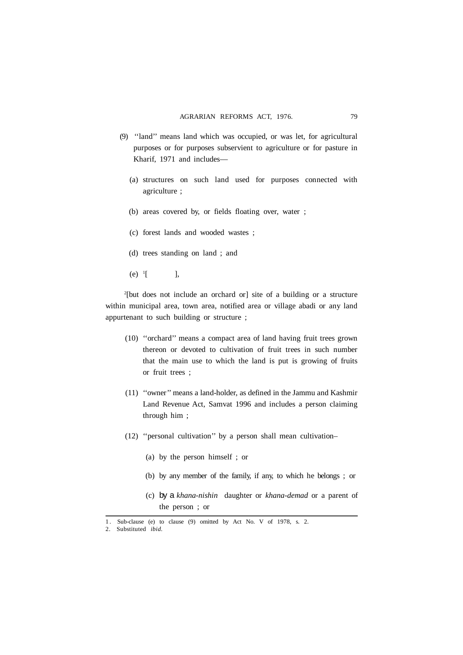- (9) ''land'' means land which was occupied, or was let, for agricultural purposes or for purposes subservient to agriculture or for pasture in Kharif, 1971 and includes-
	- (a) structures on such land used for purposes connected with agriculture ;
	- (b) areas covered by, or fields floating over, water ;
	- (c) forest lands and wooded wastes ;
	- (d) trees standing on land ; and
	- $(e)$  <sup>1</sup>[ [ ],

2 [but does not include an orchard or] site of a building or a structure within municipal area, town area, notified area or village abadi or any land appurtenant to such building or structure ;

- (10) ''orchard'' means a compact area of land having fruit trees grown thereon or devoted to cultivation of fruit trees in such number that the main use to which the land is put is growing of fruits or fruit trees ;
- (11) ''owner'' means a land-holder, as defined in the Jammu and Kashmir Land Revenue Act, Samvat 1996 and includes a person claiming through him ;
- (12) ''personal cultivation'' by a person shall mean cultivation–
	- (a) by the person himself ; or
	- (b) by any member of the family, if any, to which he belongs ; or
	- (c) by a *khana-nishin* daughter or *khana-demad* or a parent of the person ; or

<sup>1 .</sup> Sub-clause (e) to clause (9) omitted by Act No. V of 1978, s. 2.

<sup>2.</sup> Substituted *ibid.*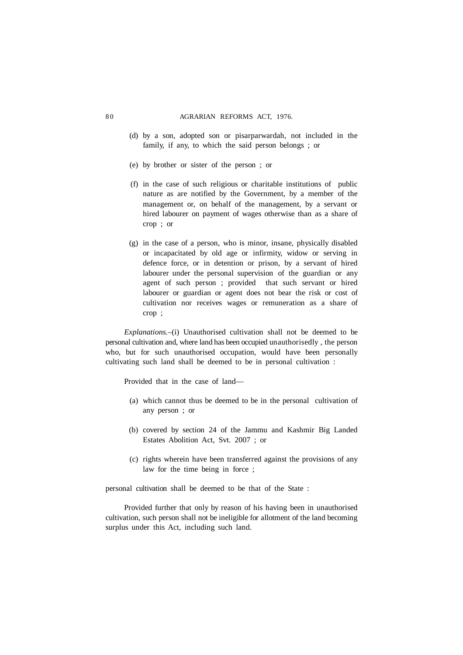- (d) by a son, adopted son or pisarparwardah, not included in the family, if any, to which the said person belongs ; or
- (e) by brother or sister of the person ; or
- (f) in the case of such religious or charitable institutions of public nature as are notified by the Government, by a member of the management or, on behalf of the management, by a servant or hired labourer on payment of wages otherwise than as a share of crop ; or
- (g) in the case of a person, who is minor, insane, physically disabled or incapacitated by old age or infirmity, widow or serving in defence force, or in detention or prison, by a servant of hired labourer under the personal supervision of the guardian or any agent of such person ; provided that such servant or hired labourer or guardian or agent does not bear the risk or cost of cultivation nor receives wages or remuneration as a share of crop ;

*Explanations.*–(i) Unauthorised cultivation shall not be deemed to be personal cultivation and, where land has been occupied unauthorisedly , the person who, but for such unauthorised occupation, would have been personally cultivating such land shall be deemed to be in personal cultivation :

Provided that in the case of land––

- (a) which cannot thus be deemed to be in the personal cultivation of any person ; or
- (b) covered by section 24 of the Jammu and Kashmir Big Landed Estates Abolition Act, Svt. 2007 ; or
- (c) rights wherein have been transferred against the provisions of any law for the time being in force ;

personal cultivation shall be deemed to be that of the State :

Provided further that only by reason of his having been in unauthorised cultivation, such person shall not be ineligible for allotment of the land becoming surplus under this Act, including such land.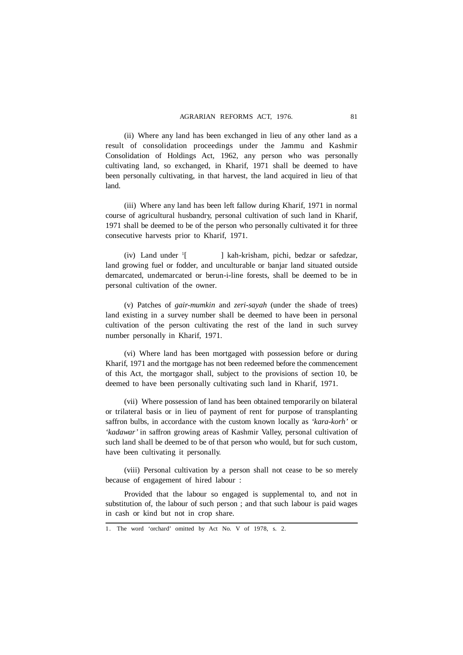(ii) Where any land has been exchanged in lieu of any other land as a result of consolidation proceedings under the Jammu and Kashmir Consolidation of Holdings Act, 1962, any person who was personally cultivating land, so exchanged, in Kharif, 1971 shall be deemed to have been personally cultivating, in that harvest, the land acquired in lieu of that land.

(iii) Where any land has been left fallow during Kharif, 1971 in normal course of agricultural husbandry, personal cultivation of such land in Kharif, 1971 shall be deemed to be of the person who personally cultivated it for three consecutive harvests prior to Kharif, 1971.

(iv) Land under  $\frac{1}{1}$ [ ] kah-krisham, pichi, bedzar or safedzar, land growing fuel or fodder, and unculturable or banjar land situated outside demarcated, undemarcated or berun-i-line forests, shall be deemed to be in personal cultivation of the owner.

(v) Patches of *gair-mumkin* and *zeri-sayah* (under the shade of trees) land existing in a survey number shall be deemed to have been in personal cultivation of the person cultivating the rest of the land in such survey number personally in Kharif, 1971.

(vi) Where land has been mortgaged with possession before or during Kharif, 1971 and the mortgage has not been redeemed before the commencement of this Act, the mortgagor shall, subject to the provisions of section 10, be deemed to have been personally cultivating such land in Kharif, 1971.

(vii) Where possession of land has been obtained temporarily on bilateral or trilateral basis or in lieu of payment of rent for purpose of transplanting saffron bulbs, in accordance with the custom known locally as *'kara-korh'* or *'kadawar'* in saffron growing areas of Kashmir Valley, personal cultivation of such land shall be deemed to be of that person who would, but for such custom, have been cultivating it personally.

(viii) Personal cultivation by a person shall not cease to be so merely because of engagement of hired labour :

Provided that the labour so engaged is supplemental to, and not in substitution of, the labour of such person ; and that such labour is paid wages in cash or kind but not in crop share.

<sup>1.</sup> The word 'orchard' omitted by Act No. V of 1978, s. 2.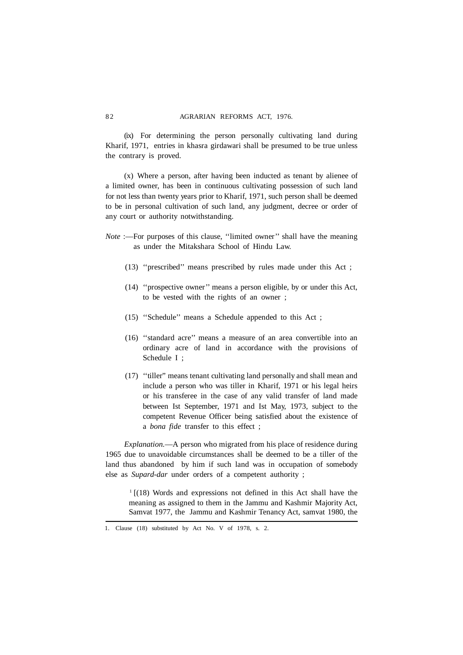(ix) For determining the person personally cultivating land during Kharif, 1971, entries in khasra girdawari shall be presumed to be true unless the contrary is proved.

(x) Where a person, after having been inducted as tenant by alienee of a limited owner, has been in continuous cultivating possession of such land for not less than twenty years prior to Kharif, 1971, such person shall be deemed to be in personal cultivation of such land, any judgment, decree or order of any court or authority notwithstanding.

*Note* :—For purposes of this clause, "limited owner" shall have the meaning as under the Mitakshara School of Hindu Law.

- (13) ''prescribed'' means prescribed by rules made under this Act ;
- (14) ''prospective owner'' means a person eligible, by or under this Act, to be vested with the rights of an owner ;
- (15) ''Schedule'' means a Schedule appended to this Act ;
- (16) ''standard acre'' means a measure of an area convertible into an ordinary acre of land in accordance with the provisions of Schedule I ;
- (17) ''tiller" means tenant cultivating land personally and shall mean and include a person who was tiller in Kharif, 1971 or his legal heirs or his transferee in the case of any valid transfer of land made between Ist September, 1971 and Ist May, 1973, subject to the competent Revenue Officer being satisfied about the existence of a *bona fide* transfer to this effect ;

*Explanation.*––A person who migrated from his place of residence during 1965 due to unavoidable circumstances shall be deemed to be a tiller of the land thus abandoned by him if such land was in occupation of somebody else as *Supard-dar* under orders of a competent authority ;

 $1$ [(18) Words and expressions not defined in this Act shall have the meaning as assigned to them in the Jammu and Kashmir Majority Act, Samvat 1977, the Jammu and Kashmir Tenancy Act, samvat 1980, the

<sup>1.</sup> Clause (18) substituted by Act No. V of 1978, s. 2.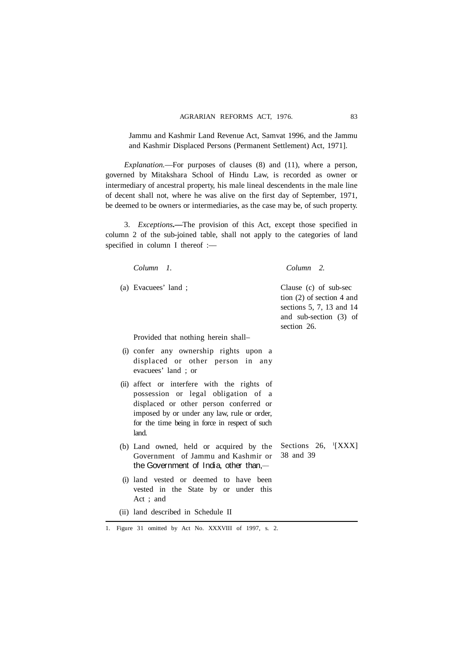Jammu and Kashmir Land Revenue Act, Samvat 1996, and the Jammu and Kashmir Displaced Persons (Permanent Settlement) Act, 1971].

*Explanation.*––For purposes of clauses (8) and (11), where a person, governed by Mitakshara School of Hindu Law, is recorded as owner or intermediary of ancestral property, his male lineal descendents in the male line of decent shall not, where he was alive on the first day of September, 1971, be deemed to be owners or intermediaries, as the case may be, of such property.

3. *Exceptions***.––**The provision of this Act, except those specified in column 2 of the sub-joined table, shall not apply to the categories of land specified in column I thereof :-

| Column 1.                                                                                                                                                                                                                              | Column 2.                                                                                                                 |
|----------------------------------------------------------------------------------------------------------------------------------------------------------------------------------------------------------------------------------------|---------------------------------------------------------------------------------------------------------------------------|
| (a) Evacuees' land;                                                                                                                                                                                                                    | Clause (c) of sub-sec<br>tion $(2)$ of section 4 and<br>sections 5, 7, 13 and 14<br>and sub-section (3) of<br>section 26. |
| Provided that nothing herein shall-                                                                                                                                                                                                    |                                                                                                                           |
| (i) confer any ownership rights upon a<br>displaced or other person in any<br>evacuees' land; or                                                                                                                                       |                                                                                                                           |
| (ii) affect or interfere with the rights of<br>possession or legal obligation of a<br>displaced or other person conferred or<br>imposed by or under any law, rule or order,<br>for the time being in force in respect of such<br>land. |                                                                                                                           |
| (b) Land owned, held or acquired by the<br>Government of Jammu and Kashmir or<br>the Government of India, other than, $-$                                                                                                              | Sections 26, $\frac{1}{2}$ [XXX]<br>38 and 39                                                                             |
| (i) land vested or deemed to have<br>been<br>vested in the State by or under this<br>Act: and                                                                                                                                          |                                                                                                                           |
| (ii) land described in Schedule II                                                                                                                                                                                                     |                                                                                                                           |

1. Figure 31 omitted by Act No. XXXVIII of 1997, s. 2.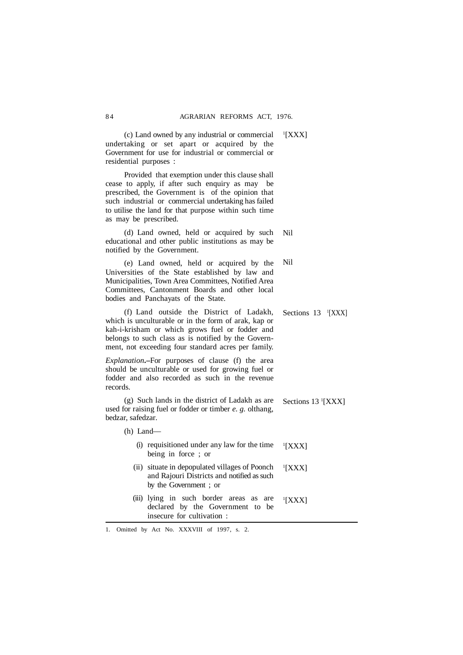| residential purposes : | (c) Land owned by any industrial or commercial<br>undertaking or set apart or acquired by the<br>Government for use for industrial or commercial or                                                                                                                      | $\frac{1}{2}$ [XXX]              |
|------------------------|--------------------------------------------------------------------------------------------------------------------------------------------------------------------------------------------------------------------------------------------------------------------------|----------------------------------|
| as may be prescribed.  | Provided that exemption under this clause shall<br>cease to apply, if after such enquiry as may be<br>prescribed, the Government is of the opinion that<br>such industrial or commercial undertaking has failed<br>to utilise the land for that purpose within such time |                                  |
|                        | (d) Land owned, held or acquired by such<br>educational and other public institutions as may be<br>notified by the Government.                                                                                                                                           | Nil                              |
|                        | (e) Land owned, held or acquired by the<br>Universities of the State established by law and<br>Municipalities, Town Area Committees, Notified Area<br>Committees, Cantonment Boards and other local<br>bodies and Panchayats of the State.                               | Nil                              |
|                        | (f) Land outside the District of Ladakh,<br>which is unculturable or in the form of arak, kap or<br>kah-i-krisham or which grows fuel or fodder and<br>belongs to such class as is notified by the Govern-<br>ment, not exceeding four standard acres per family.        | Sections $13$ <sup>1</sup> [XXX] |
| records.               | Explanation.-For purposes of clause (f) the area<br>should be unculturable or used for growing fuel or<br>fodder and also recorded as such in the revenue                                                                                                                |                                  |
| bedzar, safedzar.      | (g) Such lands in the district of Ladakh as are<br>used for raising fuel or fodder or timber e. g. olthang,                                                                                                                                                              | Sections 13 <sup>1</sup> [XXX]   |
| $(h)$ Land—            |                                                                                                                                                                                                                                                                          |                                  |
|                        | (i) requisitioned under any law for the time<br>being in force; or                                                                                                                                                                                                       | <sup>1</sup> [XXX]               |
|                        | (ii) situate in depopulated villages of Poonch<br>and Rajouri Districts and notified as such<br>by the Government; or                                                                                                                                                    | $\frac{1}{2}$ [XXX]              |
|                        | (iii) lying in such border areas as<br>are<br>declared by the Government to be<br>insecure for cultivation :                                                                                                                                                             | <sup>1</sup> [XXX]               |

1 [XXX]

1. Omitted by Act No. XXXVIII of 1997, s. 2.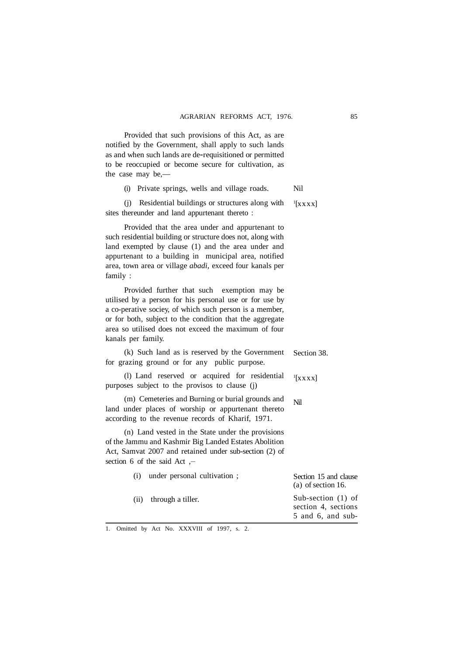Provided that such provisions of this Act, as are notified by the Government, shall apply to such lands as and when such lands are de-requisitioned or permitted to be reoccupied or become secure for cultivation, as the case may be,––

> (i) Private springs, wells and village roads. Nil

(j) Residential buildings or structures along with sites thereunder and land appurtenant thereto :  $\left[$ x x x x  $\right]$ 

Provided that the area under and appurtenant to such residential building or structure does not, along with land exempted by clause (1) and the area under and appurtenant to a building in municipal area, notified area, town area or village *abadi,* exceed four kanals per family :

Provided further that such exemption may be utilised by a person for his personal use or for use by a co-perative sociey, of which such person is a member, or for both, subject to the condition that the aggregate area so utilised does not exceed the maximum of four kanals per family.

|  | (k) Such land as is reserved by the Government Section 38. |  |
|--|------------------------------------------------------------|--|
|  | for grazing ground or for any public purpose.              |  |

(l) Land reserved or acquired for residential purposes subject to the provisos to clause (j)  $\left[$ XXXX $\right]$ 

(m) Cemeteries and Burning or burial grounds and land under places of worship or appurtenant thereto according to the revenue records of Kharif, 1971. Nil

(n) Land vested in the State under the provisions of the Jammu and Kashmir Big Landed Estates Abolition Act, Samvat 2007 and retained under sub-section (2) of section 6 of the said Act , **\_\_**

| under personal cultivation: | Section 15 and clause<br>$(a)$ of section 16.                         |
|-----------------------------|-----------------------------------------------------------------------|
| through a tiller.<br>(i)    | Sub-section $(1)$ of<br>section 4, sections<br>$5$ and $6$ , and sub- |

1. Omitted by Act No. XXXVIII of 1997, s. 2.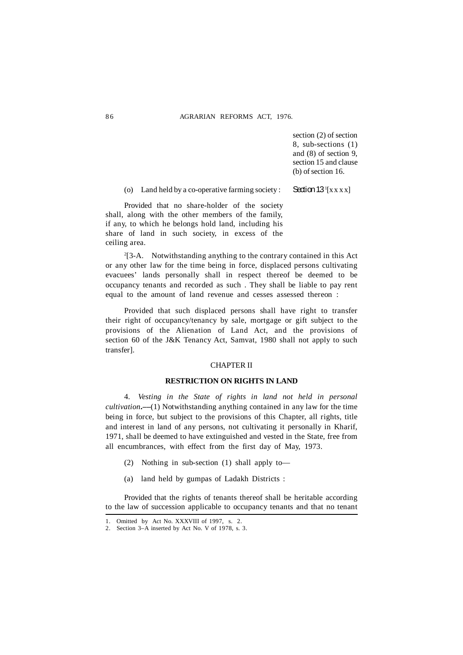section (2) of section 8, sub-sections (1) and (8) of section 9, section 15 and clause (b) of section 16.

(o) Land held by a co-operative farming society : Section  $13^{1}[x x x x]$ 

Provided that no share-holder of the society shall, along with the other members of the family, if any, to which he belongs hold land, including his share of land in such society, in excess of the ceiling area.

2 [3-A. Notwithstanding anything to the contrary contained in this Act or any other law for the time being in force, displaced persons cultivating evacuees' lands personally shall in respect thereof be deemed to be occupancy tenants and recorded as such . They shall be liable to pay rent equal to the amount of land revenue and cesses assessed thereon :

Provided that such displaced persons shall have right to transfer their right of occupancy/tenancy by sale, mortgage or gift subject to the provisions of the Alienation of Land Act, and the provisions of section 60 of the J&K Tenancy Act, Samvat, 1980 shall not apply to such transfer].

#### CHAPTER II

#### **RESTRICTION ON RIGHTS IN LAND**

4. *Vesting in the State of rights in land not held in personal cultivation***.––**(1) Notwithstanding anything contained in any law for the time being in force, but subject to the provisions of this Chapter, all rights, title and interest in land of any persons, not cultivating it personally in Kharif, 1971, shall be deemed to have extinguished and vested in the State, free from all encumbrances, with effect from the first day of May, 1973.

- (2) Nothing in sub-section (1) shall apply to––
- (a) land held by gumpas of Ladakh Districts :

Provided that the rights of tenants thereof shall be heritable according to the law of succession applicable to occupancy tenants and that no tenant

<sup>1.</sup> Omitted by Act No. XXXVIII of 1997, s. 2.

<sup>2.</sup> Section 3–A inserted by Act No. V of 1978, s. 3.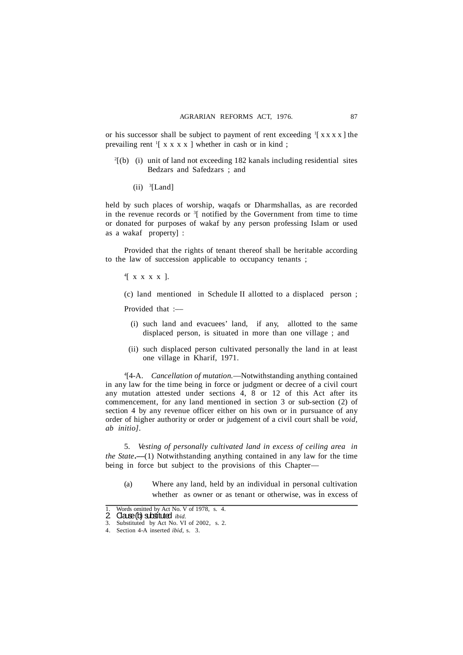or his successor shall be subject to payment of rent exceeding  $\int [x x x x]$  the prevailing rent  $\frac{1}{x}$  x x x x ] whether in cash or in kind;

- $2[$ (b) (i) unit of land not exceeding 182 kanals including residential sites Bedzars and Safedzars ; and
	- $(ii)$ <sup>3</sup>[Land]

held by such places of worship, waqafs or Dharmshallas, as are recorded in the revenue records or  $3$ [ notified by the Government from time to time or donated for purposes of wakaf by any person professing Islam or used as a wakaf property] :

Provided that the rights of tenant thereof shall be heritable according to the law of succession applicable to occupancy tenants ;

4 [ x x x x ].

(c) land mentioned in Schedule II allotted to a displaced person ;

Provided that :-

- (i) such land and evacuees' land, if any, allotted to the same displaced person, is situated in more than one village ; and
- (ii) such displaced person cultivated personally the land in at least one village in Kharif, 1971.

4 [4-A. *Cancellation of mutation.*—Notwithstanding anything contained in any law for the time being in force or judgment or decree of a civil court any mutation attested under sections 4, 8 or 12 of this Act after its commencement, for any land mentioned in section 3 or sub-section (2) of section 4 by any revenue officer either on his own or in pursuance of any order of higher authority or order or judgement of a civil court shall be *void, ab initio].*

5. *Vesting of personally cultivated land in excess of ceiling area in the State***.––**(1) Notwithstanding anything contained in any law for the time being in force but subject to the provisions of this Chapter—

(a) Where any land, held by an individual in personal cultivation whether as owner or as tenant or otherwise, was in excess of

Words omitted by Act No. V of 1978, s. 4. 1. Words omitted by Acc. bid.<br>**2. Clause (b) substituted** *ibid.* 

<sup>3.</sup> Substituted by Act No. VI of 2002, s. 2.

<sup>4.</sup> Section 4-A inserted *ibid,* s. 3.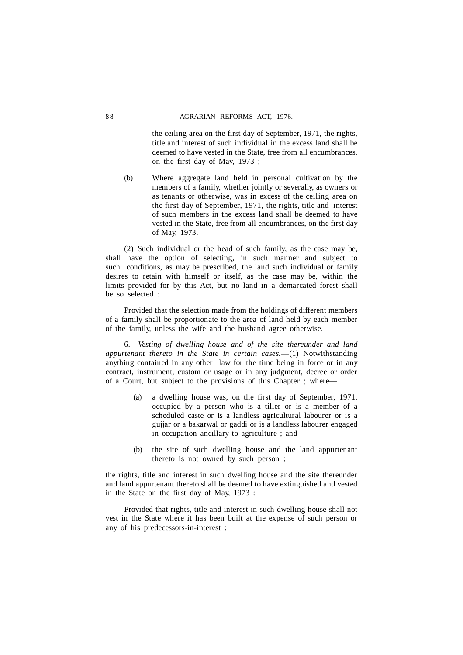the ceiling area on the first day of September, 1971, the rights, title and interest of such individual in the excess land shall be deemed to have vested in the State, free from all encumbrances, on the first day of May, 1973 ;

(b) Where aggregate land held in personal cultivation by the members of a family, whether jointly or severally, as owners or as tenants or otherwise, was in excess of the ceiling area on the first day of September, 1971, the rights, title and interest of such members in the excess land shall be deemed to have vested in the State, free from all encumbrances, on the first day of May, 1973.

(2) Such individual or the head of such family, as the case may be, shall have the option of selecting, in such manner and subject to such conditions, as may be prescribed, the land such individual or family desires to retain with himself or itself, as the case may be, within the limits provided for by this Act, but no land in a demarcated forest shall be so selected :

Provided that the selection made from the holdings of different members of a family shall be proportionate to the area of land held by each member of the family, unless the wife and the husband agree otherwise.

6. *Vesting of dwelling house and of the site thereunder and land appurtenant thereto in the State in certain cases.* -–(1) Notwithstanding anything contained in any other law for the time being in force or in any contract, instrument, custom or usage or in any judgment, decree or order of a Court, but subject to the provisions of this Chapter ; where––

- (a) a dwelling house was, on the first day of September, 1971, occupied by a person who is a tiller or is a member of a scheduled caste or is a landless agricultural labourer or is a gujjar or a bakarwal or gaddi or is a landless labourer engaged in occupation ancillary to agriculture ; and
- (b) the site of such dwelling house and the land appurtenant thereto is not owned by such person ;

the rights, title and interest in such dwelling house and the site thereunder and land appurtenant thereto shall be deemed to have extinguished and vested in the State on the first day of May, 1973 :

Provided that rights, title and interest in such dwelling house shall not vest in the State where it has been built at the expense of such person or any of his predecessors-in-interest :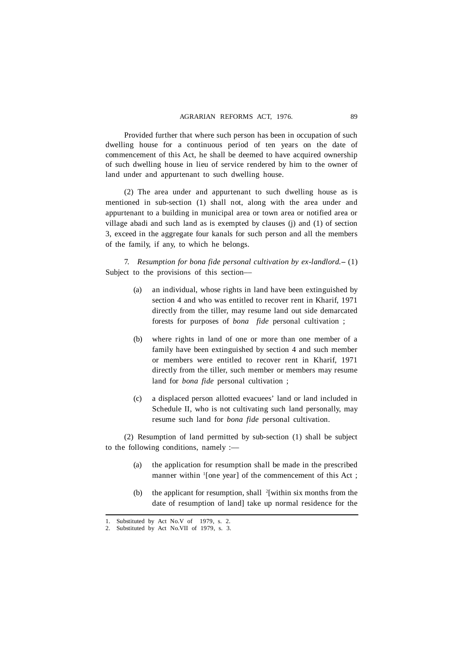Provided further that where such person has been in occupation of such dwelling house for a continuous period of ten years on the date of commencement of this Act, he shall be deemed to have acquired ownership of such dwelling house in lieu of service rendered by him to the owner of land under and appurtenant to such dwelling house.

(2) The area under and appurtenant to such dwelling house as is mentioned in sub-section (1) shall not, along with the area under and appurtenant to a building in municipal area or town area or notified area or village abadi and such land as is exempted by clauses (j) and (1) of section 3, exceed in the aggregate four kanals for such person and all the members of the family, if any, to which he belongs.

7. *Resumption for bona fide personal cultivation by ex-landlord.***–** (1) Subject to the provisions of this section––

- (a) an individual, whose rights in land have been extinguished by section 4 and who was entitled to recover rent in Kharif, 1971 directly from the tiller, may resume land out side demarcated forests for purposes of *bona fide* personal cultivation ;
- (b) where rights in land of one or more than one member of a family have been extinguished by section 4 and such member or members were entitled to recover rent in Kharif, 1971 directly from the tiller, such member or members may resume land for *bona fide* personal cultivation ;
- (c) a displaced person allotted evacuees' land or land included in Schedule II, who is not cultivating such land personally, may resume such land for *bona fide* personal cultivation.

(2) Resumption of land permitted by sub-section (1) shall be subject to the following conditions, namely :––

- (a) the application for resumption shall be made in the prescribed manner within <sup>1</sup>[one year] of the commencement of this Act;
- (b) the applicant for resumption, shall  $2$ [within six months from the date of resumption of land] take up normal residence for the

<sup>1.</sup> Substituted by Act No.V of 1979, s. 2.

<sup>2.</sup> Substituted by Act No.VII of 1979, s. 3.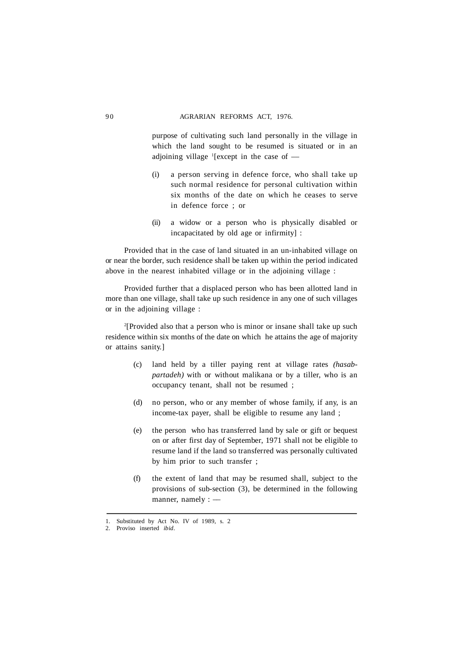purpose of cultivating such land personally in the village in which the land sought to be resumed is situated or in an adjoining village <sup>1</sup>[except in the case of --

- (i) a person serving in defence force, who shall take up such normal residence for personal cultivation within six months of the date on which he ceases to serve in defence force ; or
- (ii) a widow or a person who is physically disabled or incapacitated by old age or infirmity] :

Provided that in the case of land situated in an un-inhabited village on or near the border, such residence shall be taken up within the period indicated above in the nearest inhabited village or in the adjoining village :

Provided further that a displaced person who has been allotted land in more than one village, shall take up such residence in any one of such villages or in the adjoining village :

2 [Provided also that a person who is minor or insane shall take up such residence within six months of the date on which he attains the age of majority or attains sanity.]

- (c) land held by a tiller paying rent at village rates *(hasabpartadeh)* with or without malikana or by a tiller, who is an occupancy tenant, shall not be resumed ;
- (d) no person, who or any member of whose family, if any, is an income-tax payer, shall be eligible to resume any land ;
- (e) the person who has transferred land by sale or gift or bequest on or after first day of September, 1971 shall not be eligible to resume land if the land so transferred was personally cultivated by him prior to such transfer ;
- (f) the extent of land that may be resumed shall, subject to the provisions of sub-section (3), be determined in the following manner, namely  $:$   $-$

<sup>1.</sup> Substituted by Act No. IV of 1989, s. 2

<sup>2.</sup> Proviso inserted *ibid.*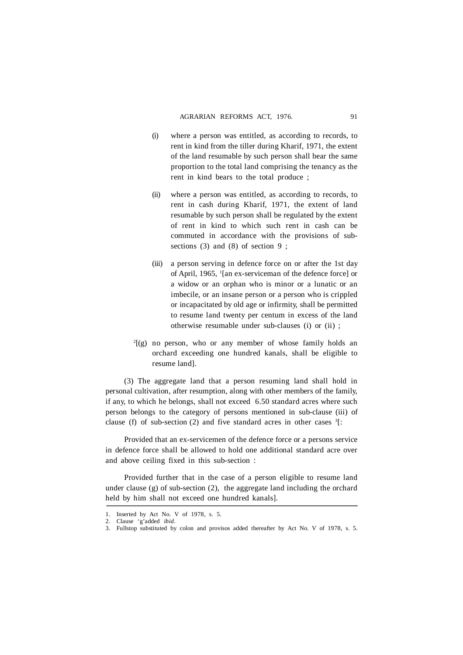- (i) where a person was entitled, as according to records, to rent in kind from the tiller during Kharif, 1971, the extent of the land resumable by such person shall bear the same proportion to the total land comprising the tenancy as the rent in kind bears to the total produce ;
- (ii) where a person was entitled, as according to records, to rent in cash during Kharif, 1971, the extent of land resumable by such person shall be regulated by the extent of rent in kind to which such rent in cash can be commuted in accordance with the provisions of subsections  $(3)$  and  $(8)$  of section 9;
- (iii) a person serving in defence force on or after the 1st day of April, 1965, <sup>1</sup> [an ex-serviceman of the defence force] or a widow or an orphan who is minor or a lunatic or an imbecile, or an insane person or a person who is crippled or incapacitated by old age or infirmity, shall be permitted to resume land twenty per centum in excess of the land otherwise resumable under sub-clauses (i) or (ii) ;
- 2 [(g) no person, who or any member of whose family holds an orchard exceeding one hundred kanals, shall be eligible to resume land].

(3) The aggregate land that a person resuming land shall hold in personal cultivation, after resumption, along with other members of the family, if any, to which he belongs, shall not exceed 6.50 standard acres where such person belongs to the category of persons mentioned in sub-clause (iii) of clause (f) of sub-section (2) and five standard acres in other cases  $3$ :

Provided that an ex-servicemen of the defence force or a persons service in defence force shall be allowed to hold one additional standard acre over and above ceiling fixed in this sub-section :

Provided further that in the case of a person eligible to resume land under clause (g) of sub-section (2), the aggregate land including the orchard held by him shall not exceed one hundred kanals].

<sup>1.</sup> Inserted by Act No. V of 1978, s. 5.

<sup>2.</sup> Clause 'g'added *ibid*.

<sup>3.</sup> Fullstop substituted by colon and provisos added thereafter by Act No. V of 1978, s. 5.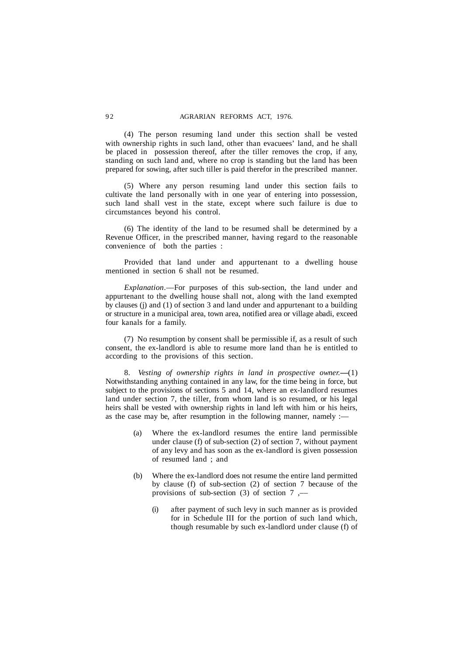(4) The person resuming land under this section shall be vested with ownership rights in such land, other than evacuees' land, and he shall be placed in possession thereof, after the tiller removes the crop, if any, standing on such land and, where no crop is standing but the land has been prepared for sowing, after such tiller is paid therefor in the prescribed manner.

(5) Where any person resuming land under this section fails to cultivate the land personally with in one year of entering into possession, such land shall vest in the state, except where such failure is due to circumstances beyond his control.

(6) The identity of the land to be resumed shall be determined by a Revenue Officer, in the prescribed manner, having regard to the reasonable convenience of both the parties :

Provided that land under and appurtenant to a dwelling house mentioned in section 6 shall not be resumed.

*Explanation*.––For purposes of this sub-section, the land under and appurtenant to the dwelling house shall not, along with the land exempted by clauses (j) and (1) of section 3 and land under and appurtenant to a building or structure in a municipal area, town area, notified area or village abadi, exceed four kanals for a family.

(7) No resumption by consent shall be permissible if, as a result of such consent, the ex-landlord is able to resume more land than he is entitled to according to the provisions of this section.

8. *Vesting of ownership rights in land in prospective owner.***—**(1) Notwithstanding anything contained in any law, for the time being in force, but subject to the provisions of sections 5 and 14, where an ex-landlord resumes land under section 7, the tiller, from whom land is so resumed, or his legal heirs shall be vested with ownership rights in land left with him or his heirs, as the case may be, after resumption in the following manner, namely :—

- (a) Where the ex-landlord resumes the entire land permissible under clause (f) of sub-section (2) of section 7, without payment of any levy and has soon as the ex-landlord is given possession of resumed land ; and
- (b) Where the ex-landlord does not resume the entire land permitted by clause (f) of sub-section (2) of section 7 because of the provisions of sub-section  $(3)$  of section  $7$ ,—
	- (i) after payment of such levy in such manner as is provided for in Schedule III for the portion of such land which, though resumable by such ex-landlord under clause (f) of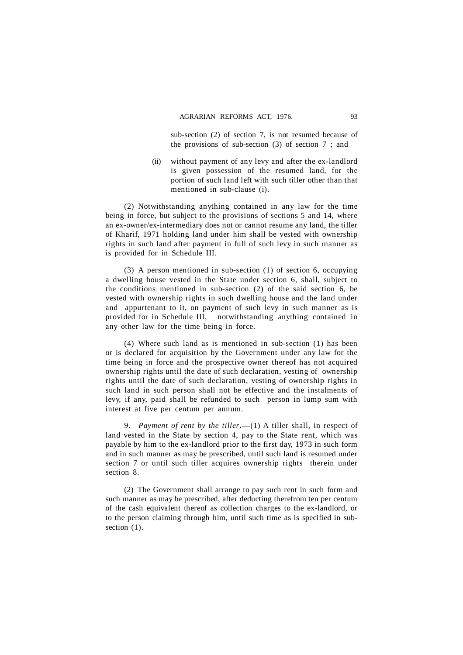sub-section (2) of section 7, is not resumed because of the provisions of sub-section (3) of section 7 ; and

(ii) without payment of any levy and after the ex-landlord is given possession of the resumed land, for the portion of such land left with such tiller other than that mentioned in sub-clause (i).

(2) Notwithstanding anything contained in any law for the time being in force, but subject to the provisions of sections 5 and 14, where an ex-owner/ex-intermediary does not or cannot resume any land, the tiller of Kharif, 1971 holding land under him shall be vested with ownership rights in such land after payment in full of such levy in such manner as is provided for in Schedule III.

(3) A person mentioned in sub-section (1) of section 6, occupying a dwelling house vested in the State under section 6, shall, subject to the conditions mentioned in sub-section (2) of the said section 6, be vested with ownership rights in such dwelling house and the land under and appurtenant to it, on payment of such levy in such manner as is provided for in Schedule III, notwithstanding anything contained in any other law for the time being in force.

(4) Where such land as is mentioned in sub-section (1) has been or is declared for acquisition by the Government under any law for the time being in force and the prospective owner thereof has not acquired ownership rights until the date of such declaration, vesting of ownership rights until the date of such declaration, vesting of ownership rights in such land in such person shall not be effective and the instalments of levy, if any, paid shall be refunded to such person in lump sum with interest at five per centum per annum.

9. *Payment of rent by the tiller***.––**(1) A tiller shall, in respect of land vested in the State by section 4, pay to the State rent, which was payable by him to the ex-landlord prior to the first day, 1973 in such form and in such manner as may be prescribed, until such land is resumed under section 7 or until such tiller acquires ownership rights therein under section 8.

(2) The Government shall arrange to pay such rent in such form and such manner as may be prescribed, after deducting therefrom ten per centum of the cash equivalent thereof as collection charges to the ex-landlord, or to the person claiming through him, until such time as is specified in subsection  $(1)$ .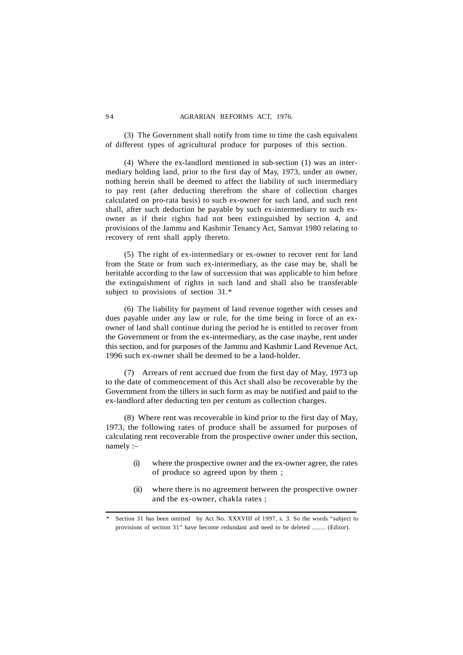(3) The Government shall notify from time to time the cash equivalent of different types of agricultural produce for purposes of this section.

(4) Where the ex-landlord mentioned in sub-section (1) was an intermediary holding land, prior to the first day of May, 1973, under an owner, nothing herein shall be deemed to affect the liability of such intermediary to pay rent (after deducting therefrom the share of collection charges calculated on pro-rata basis) to such ex-owner for such land, and such rent shall, after such deduction be payable by such ex-intermediary to such exowner as if their rights had not been extinguished by section 4, and provisions of the Jammu and Kashmir Tenancy Act, Samvat 1980 relating to recovery of rent shall apply thereto.

(5) The right of ex-intermediary or ex-owner to recover rent for land from the State or from such ex-intermediary, as the case may be, shall be heritable according to the law of succession that was applicable to him before the extinguishment of rights in such land and shall also be transferable subject to provisions of section 31.\*

(6) The liability for payment of land revenue together with cesses and dues payable under any law or rule, for the time being in force of an exowner of land shall continue during the period he is entitled to recover from the Government or from the ex-intermediary, as the case maybe, rent under this section, and for purposes of the Jammu and Kashmir Land Revenue Act, 1996 such ex-owner shall be deemed to be a land-holder.

(7) Arrears of rent accrued due from the first day of May, 1973 up to the date of commencement of this Act shall also be recoverable by the Government from the tillers in such form as may be notified and paid to the ex-landlord after deducting ten per centum as collection charges.

(8) Where rent was recoverable in kind prior to the first day of May, 1973, the following rates of produce shall be assumed for purposes of calculating rent recoverable from the prospective owner under this section, namely :–

- (i) where the prospective owner and the ex-owner agree, the rates of produce so agreed upon by them ;
- (ii) where there is no agreement between the prospective owner and the ex-owner, chakla rates ;

Section 31 has been omitted by Act No. XXXVIII of 1997, s. 3. So the words "subject to provisions of section 31" have become redundant and need to be deleted ........ (Editor).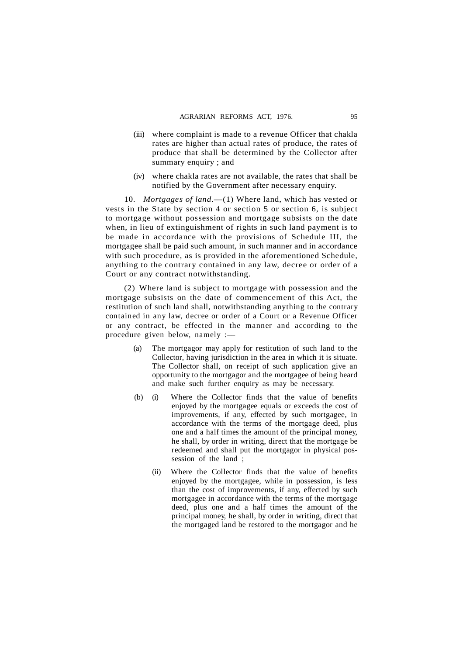- (iii) where complaint is made to a revenue Officer that chakla rates are higher than actual rates of produce, the rates of produce that shall be determined by the Collector after summary enquiry : and
- (iv) where chakla rates are not available, the rates that shall be notified by the Government after necessary enquiry.

10. *Mortgages of land*.—(1) Where land, which has vested or vests in the State by section 4 or section 5 or section 6, is subject to mortgage without possession and mortgage subsists on the date when, in lieu of extinguishment of rights in such land payment is to be made in accordance with the provisions of Schedule III, the mortgagee shall be paid such amount, in such manner and in accordance with such procedure, as is provided in the aforementioned Schedule, anything to the contrary contained in any law, decree or order of a Court or any contract notwithstanding.

(2) Where land is subject to mortgage with possession and the mortgage subsists on the date of commencement of this Act, the restitution of such land shall, notwithstanding anything to the contrary contained in any law, decree or order of a Court or a Revenue Officer or any contract, be effected in the manner and according to the procedure given below, namely :-

- (a) The mortgagor may apply for restitution of such land to the Collector, having jurisdiction in the area in which it is situate. The Collector shall, on receipt of such application give an opportunity to the mortgagor and the mortgagee of being heard and make such further enquiry as may be necessary.
- (b) (i) Where the Collector finds that the value of benefits enjoyed by the mortgagee equals or exceeds the cost of improvements, if any, effected by such mortgagee, in accordance with the terms of the mortgage deed, plus one and a half times the amount of the principal money, he shall, by order in writing, direct that the mortgage be redeemed and shall put the mortgagor in physical possession of the land ;
	- (ii) Where the Collector finds that the value of benefits enjoyed by the mortgagee, while in possession, is less than the cost of improvements, if any, effected by such mortgagee in accordance with the terms of the mortgage deed, plus one and a half times the amount of the principal money, he shall, by order in writing, direct that the mortgaged land be restored to the mortgagor and he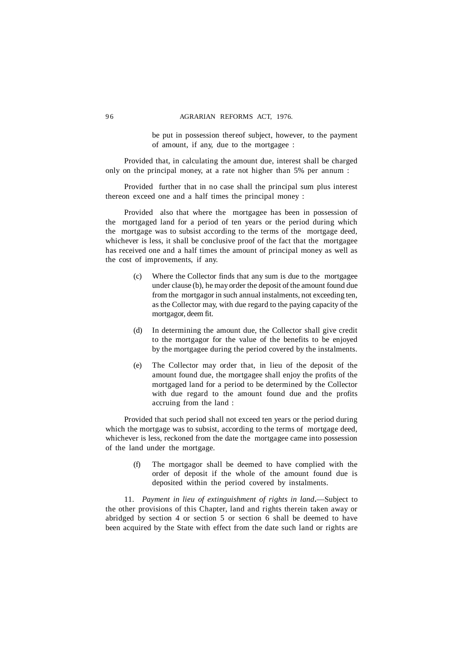#### 96 6 AGRARIAN REFORMS ACT 1976.

be put in possession thereof subject, however, to the payment of amount, if any, due to the mortgagee :

Provided that, in calculating the amount due, interest shall be charged only on the principal money, at a rate not higher than 5% per annum :

Provided further that in no case shall the principal sum plus interest thereon exceed one and a half times the principal money :

Provided also that where the mortgagee has been in possession of the mortgaged land for a period of ten years or the period during which the mortgage was to subsist according to the terms of the mortgage deed, whichever is less, it shall be conclusive proof of the fact that the mortgagee has received one and a half times the amount of principal money as well as the cost of improvements, if any.

- (c) Where the Collector finds that any sum is due to the mortgagee under clause (b), he may order the deposit of the amount found due from the mortgagor in such annual instalments, not exceeding ten, as the Collector may, with due regard to the paying capacity of the mortgagor, deem fit.
- (d) In determining the amount due, the Collector shall give credit to the mortgagor for the value of the benefits to be enjoyed by the mortgagee during the period covered by the instalments.
- (e) The Collector may order that, in lieu of the deposit of the amount found due, the mortgagee shall enjoy the profits of the mortgaged land for a period to be determined by the Collector with due regard to the amount found due and the profits accruing from the land :

Provided that such period shall not exceed ten years or the period during which the mortgage was to subsist, according to the terms of mortgage deed, whichever is less, reckoned from the date the mortgagee came into possession of the land under the mortgage.

> (f) The mortgagor shall be deemed to have complied with the order of deposit if the whole of the amount found due is deposited within the period covered by instalments.

11. *Payment in lieu of extinguishment of rights in land***.**—Subject to the other provisions of this Chapter, land and rights therein taken away or abridged by section 4 or section 5 or section 6 shall be deemed to have been acquired by the State with effect from the date such land or rights are